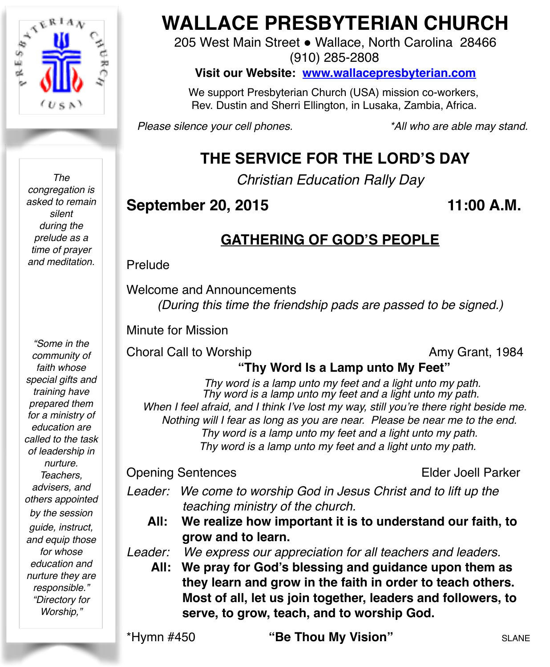

*The congregation is asked to remain silent during the prelude as a time of prayer and meditation.*

*"Some in the community of faith whose special gifts and training have prepared them for a ministry of education are called to the task of leadership in nurture. Teachers, advisers, and others appointed by the session guide, instruct, and equip those for whose education and nurture they are responsible." "Directory for Worship,"* 

# **WALLACE PRESBYTERIAN CHURCH**

205 West Main Street . Wallace, North Carolina 28466 (910) 285-2808

**Visit our Website: [www.wallacepresbyterian.com](http://www.wallacepresbyterian.com)**

 We support Presbyterian Church (USA) mission co-workers, Rev. Dustin and Sherri Ellington, in Lusaka, Zambia, Africa.

*Please silence your cell phones. \*All who are able may stand.*

# **THE SERVICE FOR THE LORD'S DAY**

*Christian Education Rally Day*

# **September 20, 2015 11:00 A.M.**

# **GATHERING OF GOD'S PEOPLE**

Prelude

Welcome and Announcements *(During this time the friendship pads are passed to be signed.)*

Minute for Mission

Choral Call to Worship **Amy Grant**, 1984

# **"Thy Word Is a Lamp unto My Feet"**

*Thy word is a lamp unto my feet and a light unto my path. Thy word is a lamp unto my feet and a light unto my path. When I feel afraid, and I think I've lost my way, still you're there right beside me. Nothing will I fear as long as you are near. Please be near me to the end. Thy word is a lamp unto my feet and a light unto my path. Thy word is a lamp unto my feet and a light unto my path.*

#### Opening Sentences **Elder Joell Parker**

*Leader: We come to worship God in Jesus Christ and to lift up the teaching ministry of the church.*

**All: We realize how important it is to understand our faith, to grow and to learn.**

*Leader: We express our appreciation for all teachers and leaders.* 

**All: We pray for God's blessing and guidance upon them as they learn and grow in the faith in order to teach others. Most of all, let us join together, leaders and followers, to serve, to grow, teach, and to worship God.**

\*Hymn #450 **"Be Thou My Vision"** SLANE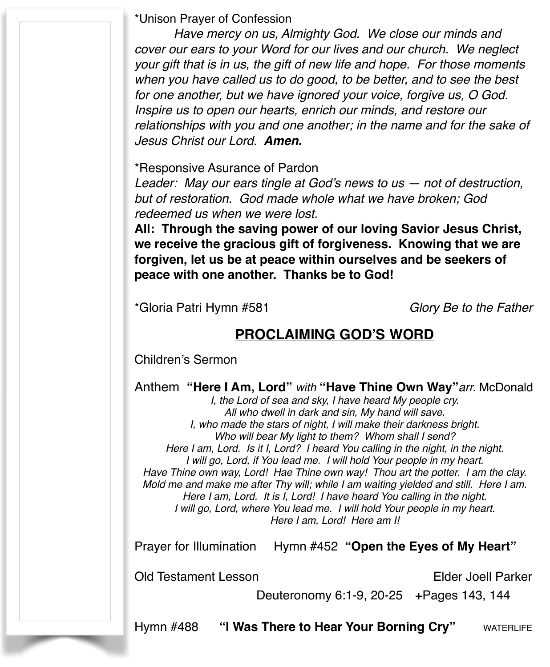\*Unison Prayer of Confession

*Have mercy on us, Almighty God. We close our minds and cover our ears to your Word for our lives and our church. We neglect your gift that is in us, the gift of new life and hope. For those moments when you have called us to do good, to be better, and to see the best for one another, but we have ignored your voice, forgive us, O God. Inspire us to open our hearts, enrich our minds, and restore our relationships with you and one another; in the name and for the sake of Jesus Christ our Lord. Amen.*

\*Responsive Asurance of Pardon! !

*Leader: May our ears tingle at God's news to us — not of destruction, but of restoration. God made whole what we have broken; God redeemed us when we were lost.*

**All: Through the saving power of our loving Savior Jesus Christ, we receive the gracious gift of forgiveness. Knowing that we are forgiven, let us be at peace within ourselves and be seekers of peace with one another. Thanks be to God!**

\*Gloria Patri Hymn #581 *Glory Be to the Father*

# **PROCLAIMING GOD'S WORD**

Children's Sermon

Anthem **"Here I Am, Lord"** *with* **"Have Thine Own Way"***arr.* McDonald

*I, the Lord of sea and sky, I have heard My people cry. All who dwell in dark and sin, My hand will save. I, who made the stars of night, I will make their darkness bright. Who will bear My light to them? Whom shall I send? Here I am, Lord. Is it I, Lord? I heard You calling in the night, in the night. I will go, Lord, if You lead me. I will hold Your people in my heart. Have Thine own way, Lord! Hae Thine own way! Thou art the potter. I am the clay. Mold me and make me after Thy will; while I am waiting yielded and still. Here I am. Here I am, Lord. It is I, Lord! I have heard You calling in the night. I will go, Lord, where You lead me. I will hold Your people in my heart. Here I am, Lord! Here am I!*

Prayer for Illumination Hymn #452 **"Open the Eyes of My Heart"** 

Old Testament Lesson Elder Joell Parker

Deuteronomy 6:1-9, 20-25 +Pages 143, 144

Hymn #488 **"I Was There to Hear Your Borning Cry"** WATERLIFE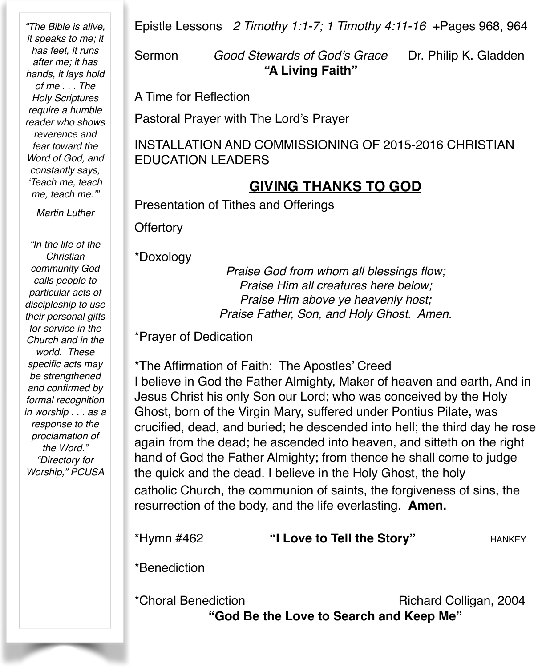*"The Bible is alive, it speaks to me; it has feet, it runs after me; it has hands, it lays hold of me . . . The Holy Scriptures require a humble reader who shows reverence and fear toward the Word of God, and constantly says, 'Teach me, teach me, teach me.'"*

*Martin Luther*

*"In the life of the Christian community God calls people to particular acts of discipleship to use their personal gifts for service in the Church and in the world. These specific acts may be strengthened and confirmed by formal recognition in worship . . . as a response to the proclamation of the Word." "Directory for Worship," PCUSA*

Epistle Lessons *2 Timothy 1:1-7; 1 Timothy 4:11-16* +Pages 968, 964

Sermon *Good Stewards of God's Grace* Dr. Philip K. Gladden !!! *"***A Living Faith"**

A Time for Reflection

Pastoral Prayer with The Lord's Prayer

INSTALLATION AND COMMISSIONING OF 2015-2016 CHRISTIAN EDUCATION LEADERS

## **GIVING THANKS TO GOD**

Presentation of Tithes and Offerings

**Offertory** 

\*Doxology

*Praise God from whom all blessings flow; Praise Him all creatures here below; Praise Him above ye heavenly host; Praise Father, Son, and Holy Ghost. Amen.*

\*Prayer of Dedication

\*The Affirmation of Faith: The Apostles' Creed I believe in God the Father Almighty, Maker of heaven and earth, And in Jesus Christ his only Son our Lord; who was conceived by the Holy Ghost, born of the Virgin Mary, suffered under Pontius Pilate, was crucified, dead, and buried; he descended into hell; the third day he rose again from the dead; he ascended into heaven, and sitteth on the right hand of God the Father Almighty; from thence he shall come to judge the quick and the dead. I believe in the Holy Ghost, the holy catholic Church, the communion of saints, the forgiveness of sins, the resurrection of the body, and the life everlasting. **Amen.**

|                     | resurrection of the body, and the life even asting. <b>Amen.</b> |                        |  |
|---------------------|------------------------------------------------------------------|------------------------|--|
| *Hymn #462          | "I Love to Tell the Story"                                       | <b>HANKEY</b>          |  |
| *Benediction        |                                                                  |                        |  |
| *Choral Benediction | "God Be the Love to Search and Keep Me"                          | Richard Colligan, 2004 |  |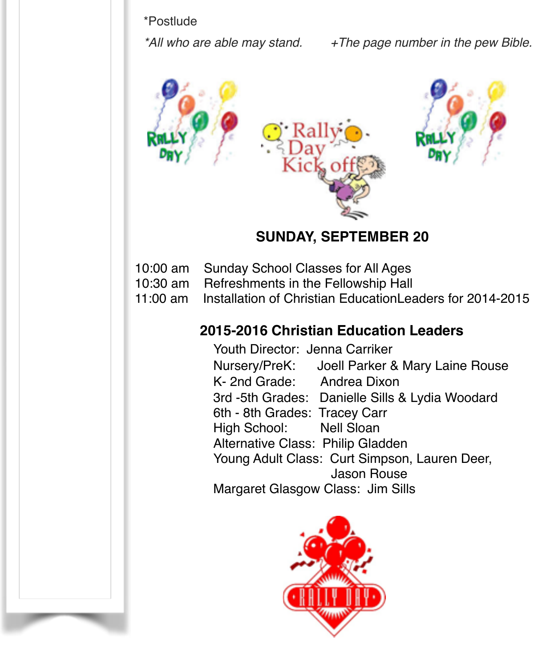#### \*Postlude

*\*All who are able may stand. +The page number in the pew Bible.*



### **SUNDAY, SEPTEMBER 20**

- 10:00 am Sunday School Classes for All Ages
- 10:30 am Refreshments in the Fellowship Hall
- 11:00 am Installation of Christian EducationLeaders for 2014-2015

## **2015-2016 Christian Education Leaders**

**! !** Youth Director: Jenna Carriker **! !** Nursery/PreK: Joell Parker & Mary Laine Rouse K- 2nd Grade: Andrea Dixon 3rd -5th Grades: Danielle Sills & Lydia Woodard 6th - 8th Grades: Tracey Carr High School: Nell Sloan Alternative Class: Philip Gladden Young Adult Class: Curt Simpson, Lauren Deer, ! ! ! ! Jason Rouse Margaret Glasgow Class: Jim Sills

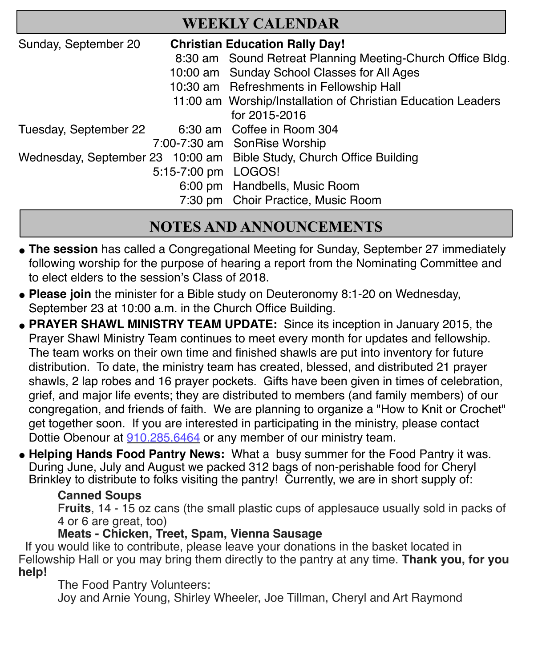| <b>WEEKLY CALENDAR</b>                                                                      |  |                                                              |  |
|---------------------------------------------------------------------------------------------|--|--------------------------------------------------------------|--|
| Sunday, September 20<br><b>Christian Education Rally Day!</b>                               |  |                                                              |  |
|                                                                                             |  | 8:30 am Sound Retreat Planning Meeting-Church Office Bldg.   |  |
|                                                                                             |  | 10:00 am Sunday School Classes for All Ages                  |  |
|                                                                                             |  | 10:30 am Refreshments in Fellowship Hall                     |  |
|                                                                                             |  | 11:00 am Worship/Installation of Christian Education Leaders |  |
|                                                                                             |  | for 2015-2016                                                |  |
| Tuesday, September 22                                                                       |  | 6:30 am Coffee in Room 304                                   |  |
|                                                                                             |  | 7:00-7:30 am SonRise Worship                                 |  |
| Wednesday, September 23 10:00 am Bible Study, Church Office Building<br>5:15-7:00 pm LOGOS! |  |                                                              |  |
|                                                                                             |  |                                                              |  |
|                                                                                             |  | 6:00 pm Handbells, Music Room                                |  |
|                                                                                             |  | 7:30 pm Choir Practice, Music Room                           |  |

# **NOTES AND ANNOUNCEMENTS**

- The session has called a Congregational Meeting for Sunday, September 27 immediately following worship for the purpose of hearing a report from the Nominating Committee and to elect elders to the session's Class of 2018.
- " **Please join** the minister for a Bible study on Deuteronomy 8:1-20 on Wednesday, September 23 at 10:00 a.m. in the Church Office Building.
- **PRAYER SHAWL MINISTRY TEAM UPDATE:** Since its inception in January 2015, the Prayer Shawl Ministry Team continues to meet every month for updates and fellowship. The team works on their own time and finished shawls are put into inventory for future distribution. To date, the ministry team has created, blessed, and distributed 21 prayer shawls, 2 lap robes and 16 prayer pockets. Gifts have been given in times of celebration, grief, and major life events; they are distributed to members (and family members) of our congregation, and friends of faith. We are planning to organize a "How to Knit or Crochet" get together soon. If you are interested in participating in the ministry, please contact Dottie Obenour at 910.285.6464 or any member of our ministry team.
- **. Helping Hands Food Pantry News:** What a busy summer for the Food Pantry it was. During June, July and August we packed 312 bags of non-perishable food for Cheryl Brinkley to distribute to folks visiting the pantry! Currently, we are in short supply of:

#### **Canned Soups** !

F**ruits**, 14 - 15 oz cans (the small plastic cups of applesauce usually sold in packs of 4 or 6 are great, too) !

#### **Meats - Chicken, Treet, Spam, Vienna Sausage**

 If you would like to contribute, please leave your donations in the basket located in Fellowship Hall or you may bring them directly to the pantry at any time. **Thank you, for you help!** 

#### The Food Pantry Volunteers:

Joy and Arnie Young, Shirley Wheeler, Joe Tillman, Cheryl and Art Raymond